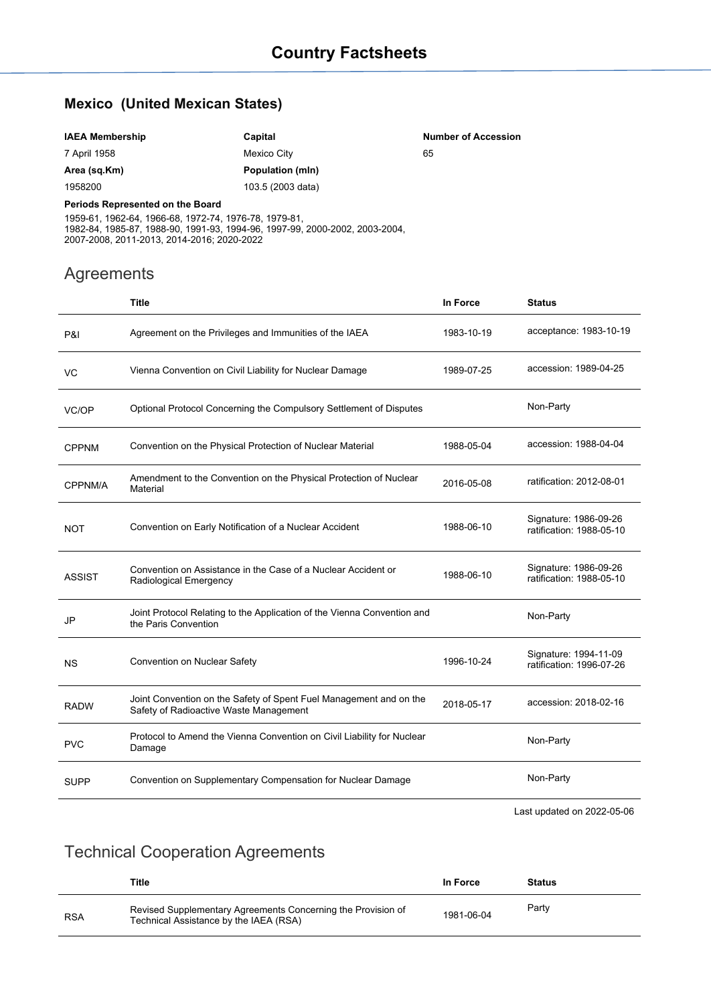## **Mexico (United Mexican States)**

| <b>IAEA Membership</b>           | Capital           | <b>Number of Accession</b> |
|----------------------------------|-------------------|----------------------------|
| 7 April 1958                     | Mexico City       | 65                         |
| Area (sq.Km)                     | Population (mln)  |                            |
| 1958200                          | 103.5 (2003 data) |                            |
| Periods Represented on the Board |                   |                            |

1959-61, 1962-64, 1966-68, 1972-74, 1976-78, 1979-81, 1982-84, 1985-87, 1988-90, 1991-93, 1994-96, 1997-99, 2000-2002, 2003-2004, 2007-2008, 2011-2013, 2014-2016; 2020-2022

## Agreements

|               | <b>Title</b>                                                                                                 | In Force   | <b>Status</b>                                     |
|---------------|--------------------------------------------------------------------------------------------------------------|------------|---------------------------------------------------|
| P&I           | Agreement on the Privileges and Immunities of the IAEA                                                       | 1983-10-19 | acceptance: 1983-10-19                            |
| VC            | Vienna Convention on Civil Liability for Nuclear Damage                                                      | 1989-07-25 | accession: 1989-04-25                             |
| VC/OP         | Optional Protocol Concerning the Compulsory Settlement of Disputes                                           |            | Non-Party                                         |
| <b>CPPNM</b>  | Convention on the Physical Protection of Nuclear Material                                                    | 1988-05-04 | accession: 1988-04-04                             |
| CPPNM/A       | Amendment to the Convention on the Physical Protection of Nuclear<br>Material                                | 2016-05-08 | ratification: 2012-08-01                          |
| <b>NOT</b>    | Convention on Early Notification of a Nuclear Accident                                                       | 1988-06-10 | Signature: 1986-09-26<br>ratification: 1988-05-10 |
| <b>ASSIST</b> | Convention on Assistance in the Case of a Nuclear Accident or<br>Radiological Emergency                      | 1988-06-10 | Signature: 1986-09-26<br>ratification: 1988-05-10 |
| JP            | Joint Protocol Relating to the Application of the Vienna Convention and<br>the Paris Convention              |            | Non-Party                                         |
| <b>NS</b>     | Convention on Nuclear Safety                                                                                 | 1996-10-24 | Signature: 1994-11-09<br>ratification: 1996-07-26 |
| <b>RADW</b>   | Joint Convention on the Safety of Spent Fuel Management and on the<br>Safety of Radioactive Waste Management | 2018-05-17 | accession: 2018-02-16                             |
| <b>PVC</b>    | Protocol to Amend the Vienna Convention on Civil Liability for Nuclear<br>Damage                             |            | Non-Party                                         |
| SUPP          | Convention on Supplementary Compensation for Nuclear Damage                                                  |            | Non-Party                                         |

Last updated on 2022-05-06

## Technical Cooperation Agreements

|            | Title                                                                                                  | In Force   | <b>Status</b> |
|------------|--------------------------------------------------------------------------------------------------------|------------|---------------|
| <b>RSA</b> | Revised Supplementary Agreements Concerning the Provision of<br>Technical Assistance by the IAEA (RSA) | 1981-06-04 | Party         |